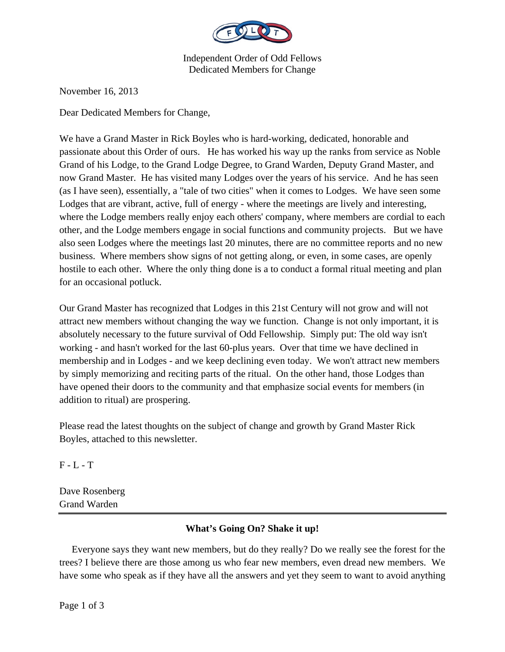

Independent Order of Odd Fellows Dedicated Members for Change

November 16, 2013

Dear Dedicated Members for Change,

We have a Grand Master in Rick Boyles who is hard-working, dedicated, honorable and passionate about this Order of ours. He has worked his way up the ranks from service as Noble Grand of his Lodge, to the Grand Lodge Degree, to Grand Warden, Deputy Grand Master, and now Grand Master. He has visited many Lodges over the years of his service. And he has seen (as I have seen), essentially, a "tale of two cities" when it comes to Lodges. We have seen some Lodges that are vibrant, active, full of energy - where the meetings are lively and interesting, where the Lodge members really enjoy each others' company, where members are cordial to each other, and the Lodge members engage in social functions and community projects. But we have also seen Lodges where the meetings last 20 minutes, there are no committee reports and no new business. Where members show signs of not getting along, or even, in some cases, are openly hostile to each other. Where the only thing done is a to conduct a formal ritual meeting and plan for an occasional potluck.

Our Grand Master has recognized that Lodges in this 21st Century will not grow and will not attract new members without changing the way we function. Change is not only important, it is absolutely necessary to the future survival of Odd Fellowship. Simply put: The old way isn't working - and hasn't worked for the last 60-plus years. Over that time we have declined in membership and in Lodges - and we keep declining even today. We won't attract new members by simply memorizing and reciting parts of the ritual. On the other hand, those Lodges than have opened their doors to the community and that emphasize social events for members (in addition to ritual) are prospering.

Please read the latest thoughts on the subject of change and growth by Grand Master Rick Boyles, attached to this newsletter.

 $F - L - T$ 

Dave Rosenberg Grand Warden

## **What's Going On? Shake it up!**

 Everyone says they want new members, but do they really? Do we really see the forest for the trees? I believe there are those among us who fear new members, even dread new members. We have some who speak as if they have all the answers and yet they seem to want to avoid anything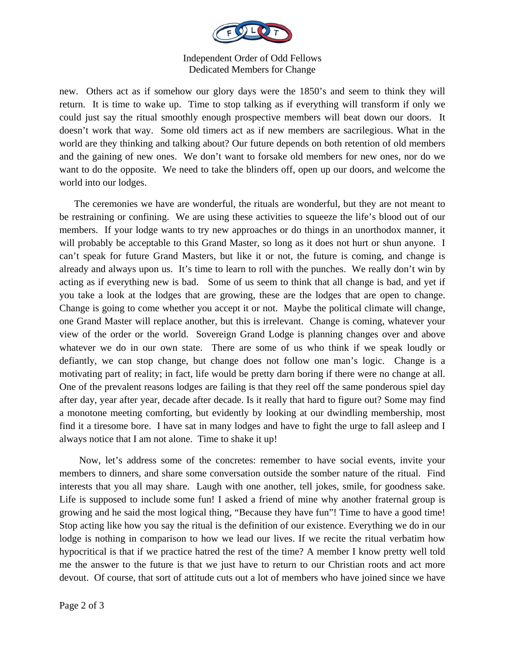

## Independent Order of Odd Fellows Dedicated Members for Change

new. Others act as if somehow our glory days were the 1850's and seem to think they will return. It is time to wake up. Time to stop talking as if everything will transform if only we could just say the ritual smoothly enough prospective members will beat down our doors. It doesn't work that way. Some old timers act as if new members are sacrilegious. What in the world are they thinking and talking about? Our future depends on both retention of old members and the gaining of new ones. We don't want to forsake old members for new ones, nor do we want to do the opposite. We need to take the blinders off, open up our doors, and welcome the world into our lodges.

 The ceremonies we have are wonderful, the rituals are wonderful, but they are not meant to be restraining or confining. We are using these activities to squeeze the life's blood out of our members. If your lodge wants to try new approaches or do things in an unorthodox manner, it will probably be acceptable to this Grand Master, so long as it does not hurt or shun anyone. I can't speak for future Grand Masters, but like it or not, the future is coming, and change is already and always upon us. It's time to learn to roll with the punches. We really don't win by acting as if everything new is bad. Some of us seem to think that all change is bad, and yet if you take a look at the lodges that are growing, these are the lodges that are open to change. Change is going to come whether you accept it or not. Maybe the political climate will change, one Grand Master will replace another, but this is irrelevant. Change is coming, whatever your view of the order or the world. Sovereign Grand Lodge is planning changes over and above whatever we do in our own state. There are some of us who think if we speak loudly or defiantly, we can stop change, but change does not follow one man's logic. Change is a motivating part of reality; in fact, life would be pretty darn boring if there were no change at all. One of the prevalent reasons lodges are failing is that they reel off the same ponderous spiel day after day, year after year, decade after decade. Is it really that hard to figure out? Some may find a monotone meeting comforting, but evidently by looking at our dwindling membership, most find it a tiresome bore. I have sat in many lodges and have to fight the urge to fall asleep and I always notice that I am not alone. Time to shake it up!

 Now, let's address some of the concretes: remember to have social events, invite your members to dinners, and share some conversation outside the somber nature of the ritual. Find interests that you all may share. Laugh with one another, tell jokes, smile, for goodness sake. Life is supposed to include some fun! I asked a friend of mine why another fraternal group is growing and he said the most logical thing, "Because they have fun"! Time to have a good time! Stop acting like how you say the ritual is the definition of our existence. Everything we do in our lodge is nothing in comparison to how we lead our lives. If we recite the ritual verbatim how hypocritical is that if we practice hatred the rest of the time? A member I know pretty well told me the answer to the future is that we just have to return to our Christian roots and act more devout. Of course, that sort of attitude cuts out a lot of members who have joined since we have